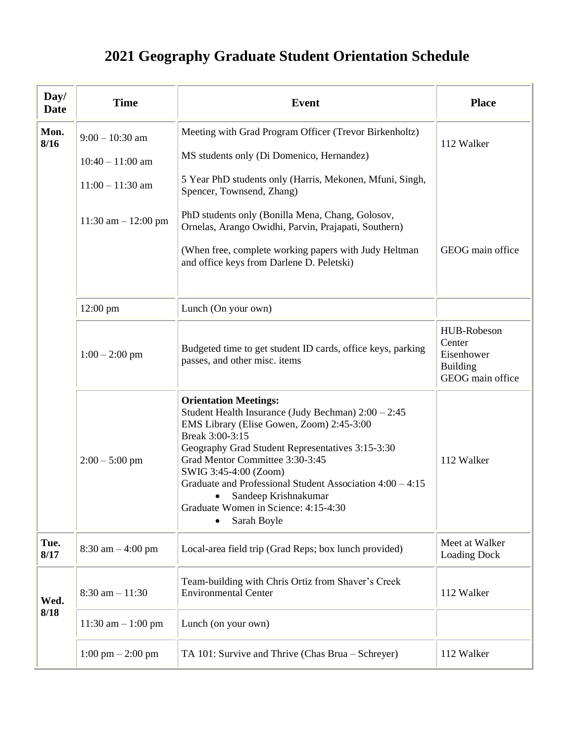## **2021 Geography Graduate Student Orientation Schedule**

| Day/<br><b>Date</b> | <b>Time</b>                                 | <b>Event</b>                                                                                                                                                                                                                                                                                                                                                                                                                                  | <b>Place</b>                                                               |
|---------------------|---------------------------------------------|-----------------------------------------------------------------------------------------------------------------------------------------------------------------------------------------------------------------------------------------------------------------------------------------------------------------------------------------------------------------------------------------------------------------------------------------------|----------------------------------------------------------------------------|
| Mon.<br>8/16        | $9:00 - 10:30$ am<br>$10:40 - 11:00$ am     | Meeting with Grad Program Officer (Trevor Birkenholtz)<br>MS students only (Di Domenico, Hernandez)<br>5 Year PhD students only (Harris, Mekonen, Mfuni, Singh,                                                                                                                                                                                                                                                                               | 112 Walker                                                                 |
|                     | $11:00 - 11:30$ am<br>11:30 am $- 12:00$ pm | Spencer, Townsend, Zhang)<br>PhD students only (Bonilla Mena, Chang, Golosov,<br>Ornelas, Arango Owidhi, Parvin, Prajapati, Southern)<br>(When free, complete working papers with Judy Heltman<br>and office keys from Darlene D. Peletski)                                                                                                                                                                                                   | GEOG main office                                                           |
|                     | $12:00$ pm                                  | Lunch (On your own)                                                                                                                                                                                                                                                                                                                                                                                                                           |                                                                            |
|                     | $1:00 - 2:00$ pm                            | Budgeted time to get student ID cards, office keys, parking<br>passes, and other misc. items                                                                                                                                                                                                                                                                                                                                                  | HUB-Robeson<br>Center<br>Eisenhower<br><b>Building</b><br>GEOG main office |
|                     | $2:00 - 5:00$ pm                            | <b>Orientation Meetings:</b><br>Student Health Insurance (Judy Bechman) $2:00 - 2:45$<br>EMS Library (Elise Gowen, Zoom) 2:45-3:00<br>Break 3:00-3:15<br>Geography Grad Student Representatives 3:15-3:30<br>Grad Mentor Committee 3:30-3:45<br>SWIG 3:45-4:00 (Zoom)<br>Graduate and Professional Student Association $4:00 - 4:15$<br>Sandeep Krishnakumar<br>$\bullet$<br>Graduate Women in Science: 4:15-4:30<br>Sarah Boyle<br>$\bullet$ | 112 Walker                                                                 |
| Tue.<br>8/17        | $8:30$ am $-4:00$ pm                        | Local-area field trip (Grad Reps; box lunch provided)                                                                                                                                                                                                                                                                                                                                                                                         | Meet at Walker<br><b>Loading Dock</b>                                      |
| Wed.<br>8/18        | $8:30$ am $-11:30$                          | Team-building with Chris Ortiz from Shaver's Creek<br><b>Environmental Center</b>                                                                                                                                                                                                                                                                                                                                                             | 112 Walker                                                                 |
|                     | $11:30$ am $- 1:00$ pm                      | Lunch (on your own)                                                                                                                                                                                                                                                                                                                                                                                                                           |                                                                            |
|                     | $1:00 \text{ pm} - 2:00 \text{ pm}$         | TA 101: Survive and Thrive (Chas Brua – Schreyer)                                                                                                                                                                                                                                                                                                                                                                                             | 112 Walker                                                                 |